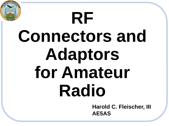# **RF Connectors and Adaptors for Amateur Radio Harold C. Fleischer, III**

**AE5AS**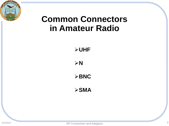

## **Common Connectors in Amateur Radio**

➢**UHF**

➢**N**

➢**BNC**

➢**SMA**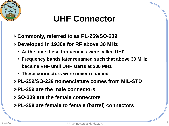# **UHF Connector**

➢**Commonly, referred to as PL-259/SO-239**

➢**Developed in 1930s for RF above 30 MHz**

- **At the time these frequencies were called UHF**
- **Frequency bands later renamed such that above 30 MHz became VHF until UHF starts at 300 MHz**
- **These connectors were never renamed**
- ➢**PL-259/SO-239 nomenclature comes from MIL-STD**
- ➢**PL-259 are the male connectors**
- ➢**SO-239 are the female connectors**
- ➢**PL-258 are female to female (barrel) connectors**

919 / 2019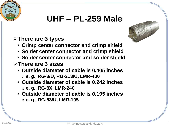## **UHF – PL-259 Male**

#### ➢**There are 3 types**

- **Crimp center connector and crimp shield**
- **Solder center connector and crimp shield**
- **Solder center connector and solder shield**
- ➢**There are 3 sizes**
	- **Outside diameter of cable is 0.405 inches** o **e. g., RG-8/U, RG-213/U, LMR-400**
	- **Outside diameter of cable is 0.242 inches** o **e. g., RG-8X, LMR-240**
	- **Outside diameter of cable is 0.195 inches** o **e. g., RG-58/U, LMR-195**



 $201$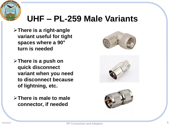

## **UHF – PL-259 Male Variants**

- ➢**There is a right-angle variant useful for tight spaces where a 90° turn is needed**
- ➢**There is a push on quick disconnect variant when you need to disconnect because of lightning, etc.**
- ➢**There is male to male connector, if needed**





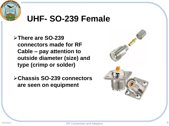

### **UHF- SO-239 Female**

➢**There are SO-239 connectors made for RF Cable – pay attention to outside diameter (size) and type (crimp or solder)**

➢**Chassis SO-239 connectors are seen on equipment**

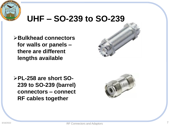

## **UHF – SO-239 to SO-239**

➢**Bulkhead connectors for walls or panels – there are different lengths available**

➢**PL-258 are short SO-239 to SO-239 (barrel) connectors – connect RF cables together**



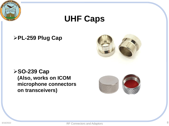

## **UHF Caps**

#### ➢**PL-259 Plug Cap**



➢**SO-239 Cap (Also, works on ICOM microphone connectors on transceivers)**

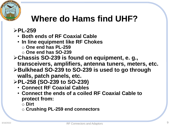# $919/2019$

# **Where do Hams find UHF?**

#### ➢**PL-259**

• **Both ends of RF Coaxial Cable**

- **In line equipment like RF Chokes**
	- o **One end has PL-259**
	- o **One end has SO-239**
- ➢**Chassis SO-239 is found on equipment, e. g., transceivers, amplifiers, antenna tuners, meters, etc.**
- ➢**Bulkhead SO-239 to SO-239 is used to go through walls, patch panels, etc.**
- ➢**PL-258 (SO-239 to SO-239)**
	- **Connect RF Coaxial Cables**
	- **Connect the ends of a coiled RF Coaxial Cable to protect from:**

o **Dirt**

o **Crushing PL-259 end connectors**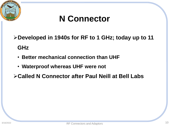

# **N Connector**

➢**Developed in 1940s for RF to 1 GHz; today up to 11 GHz**

- **Better mechanical connection than UHF**
- **Waterproof whereas UHF were not**
- ➢**Called N Connector after Paul Neill at Bell Labs**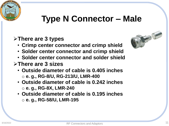# **Type N Connector – Male**

#### ➢**There are 3 types**

- **Crimp center connector and crimp shield**
- **Solder center connector and crimp shield**
- **Solder center connector and solder shield**
- ➢**There are 3 sizes**
	- **Outside diameter of cable is 0.405 inches** o **e. g., RG-8/U, RG-213/U, LMR-400**
	- **Outside diameter of cable is 0.242 inches** o **e. g., RG-8X, LMR-240**
	- **Outside diameter of cable is 0.195 inches** o **e. g., RG-58/U, LMR-195**



 $1201$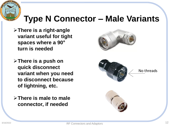# 919 2019

# **Type N Connector – Male Variants**

- ➢**There is a right-angle variant useful for tight spaces where a 90° turn is needed**
- ➢**There is a push on quick disconnect variant when you need to disconnect because of lightning, etc.**
- ➢**There is male to male connector, if needed**

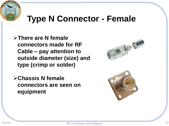

## **Type N Connector - Female**

➢**There are N female connectors made for RF Cable – pay attention to outside diameter (size) and type (crimp or solder)**

➢**Chassis N female connectors are seen on equipment**

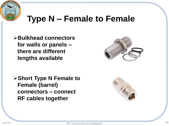

## **Type N – Female to Female**

➢**Bulkhead connectors for walls or panels – there are different lengths available**

➢**Short Type N Female to Female (barrel) connectors – connect RF cables together**



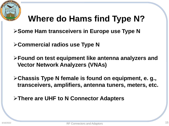

# **Where do Hams find Type N?**

- ➢**Some Ham transceivers in Europe use Type N**
- ➢**Commercial radios use Type N**
- ➢**Found on test equipment like antenna analyzers and Vector Network Analyzers (VNAs)**
- ➢**Chassis Type N female is found on equipment, e. g., transceivers, amplifiers, antenna tuners, meters, etc.**
- ➢**There are UHF to N Connector Adapters**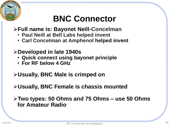# **BNC Connector**

#### ➢**Full name is: Bayonet Neill-Concelman**

- **Paul Neill at Bell Labs helped invent**
- **Carl Concelman at Amphenol helped invent**

#### ➢**Developed in late 1940s**

- **Quick connect using bayonet principle**
- **For RF below 4 GHz**

#### ➢**Usually, BNC Male is crimped on**

#### ➢**Usually, BNC Female is chassis mounted**

➢**Two types: 50 Ohms and 75 Ohms – use 50 Ohms for Amateur Radio**

 $201$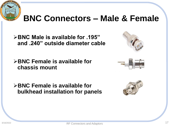

## **BNC Connectors – Male & Female**

➢**BNC Male is available for .195" and .240" outside diameter cable**

➢**BNC Female is available for chassis mount**

➢**BNC Female is available for bulkhead installation for panels**





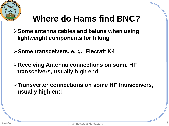

# **Where do Hams find BNC?**

➢**Some antenna cables and baluns when using lightweight components for hiking**

➢**Some transceivers, e. g., Elecraft K4**

➢**Receiving Antenna connections on some HF transceivers, usually high end**

➢**Transverter connections on some HF transceivers, usually high end**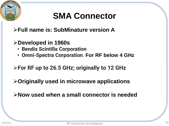

# **SMA Connector**

- ➢**Full name is: SubMinature version A**
- ➢**Developed in 1960s**
	- **Bendix Scintilla Corporation**
	- **Omni-Spectra Corporation**. **For RF below 4 GHz**
- ➢**For RF up to 26.5 GHz; originally to 12 GHz**
- ➢**Originally used in microwave applications**
- ➢**Now used when a small connector is needed**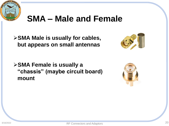

## **SMA – Male and Female**

➢**SMA Male is usually for cables, but appears on small antennas**



➢**SMA Female is usually a "chassis" (maybe circuit board) mount**

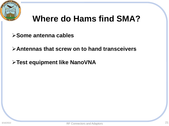

## **Where do Hams find SMA?**

- ➢**Some antenna cables**
- ➢**Antennas that screw on to hand transceivers**
- ➢**Test equipment like NanoVNA**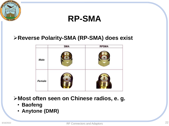

• **Anytone (DMR)**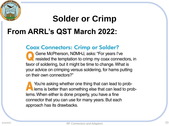# **Solder or Crimp From ARRL's QST March 2022:**

#### **Coax Connectors: Crimp or Solder?**

Gene McPherson, NØMHJ, asks: "For years I've<br>resisted the temptation to crimp my coax connectors, in favor of soldering, but it might be time to change. What is your advice on crimping versus soldering, for hams putting on their own connectors?"

You're asking whether one thing that can lead to problems is better than something else that can lead to problems. When either is done properly, you have a fine connector that you can use for many years. But each approach has its drawbacks.

919 / 2019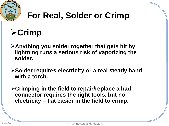

# **For Real, Solder or Crimp**

# ➢**Crimp**

- ➢**Anything you solder together that gets hit by lightning runs a serious risk of vaporizing the solder.**
- ➢**Solder requires electricity or a real steady hand with a torch.**
- ➢**Crimping in the field to repair/replace a bad connector requires the right tools, but no electricity – flat easier in the field to crimp.**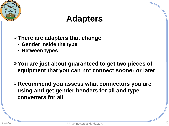

## ➢**There are adapters that change**

- **Gender inside the type**
- **Between types**

➢**You are just about guaranteed to get two pieces of equipment that you can not connect sooner or later**

➢**Recommend you assess what connectors you are using and get gender benders for all and type converters for all**

 $201$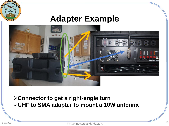

### **Adapter Example**



#### ➢**Connector to get a right-angle turn** ➢**UHF to SMA adapter to mount a 10W antenna**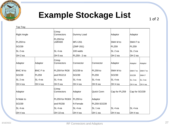

## **Example Stockage List**

1 of 2

| Top Tray          |                 |                            |                      |             |                |                |                    |  |
|-------------------|-----------------|----------------------------|----------------------|-------------|----------------|----------------|--------------------|--|
| Right Angle       |                 | Crimp<br>Connectors        | Dummy Load           |             | Adaptor        | Adaptor        |                    |  |
| PL259 to          |                 | PL259 for<br><b>LMR400</b> | <b>MFJ-261</b>       |             | SMA M to       | SMA F to       |                    |  |
| SO239             |                 |                            | (ZMF-261)            |             | PL259          | PL259          |                    |  |
| SL 2 ea           |                 | ISL 4 ea                   | 100 watts            |             | SL 2 ea        | $SL2$ ea       |                    |  |
| OH 2 ea           |                 | OH 5 ea                    | PL259 - 2 ea         |             | OH 2 ea        | OH 2 ea        |                    |  |
| Adaptor           | Adaptor         | Crimp<br>Connectors        | Connector            | Connector   | Adaptor        | Adaptor        | Adaptor            |  |
| <b>BNC M</b> to   | <b>BNC F to</b> | PL259 for RG8              | SO <sub>239</sub> to | $PL259$ to  | SMA M to       | SMA F to       | SMA F to           |  |
| SO <sub>239</sub> | PL259           | and RG213                  | SO239                | PL259       | SO239          | SO239          | <b>SMAF</b>        |  |
| SL 2 ea           | SL 4 ea         | SL 4 ea                    | SL 4 ea              | SL 4 ea     | SL 4 ea        | <b>SL</b> 2 ea | SL <sub>2</sub> ea |  |
| OH 4 ea           | OH 4 ea         | OH 5 ea                    | OH 4 ea              | OH 6 ea     | OH 4 ea        | OH 4 ea        | OH 4 ea            |  |
| Adaptor           |                 | Crimp<br>Connectors        | Adaptor              | Quick Conn  | Cap for PL259  | Cap for SO239  |                    |  |
| N Male to         |                 | PL259 for RG8X             | PL259 to             | Adaptor     |                |                |                    |  |
| SO <sub>239</sub> |                 | and RG58                   | N Female             | PL259-SO239 |                |                |                    |  |
| SL 4 ea           |                 | ISL 4 ea                   | SL 4 ea              | SL 1 ea     | <b>SL</b> 4 ea | SL 4 ea        |                    |  |
| OH 4 ea           |                 | OH 10 ea                   | OH 4 ea              | OH 1 ea     | OH 4 ea        | OH 4 ea        |                    |  |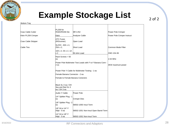

## **Example Stockage List**

| Coax Cable Cutter   | PL259 for<br>RG8X/RG58 Die                                        | <b>MFJ-252</b>                        | Power Pole Crimper          |
|---------------------|-------------------------------------------------------------------|---------------------------------------|-----------------------------|
| Klein PL259 Crimper | Klein                                                             | Analyzer Calibr                       | Power Pole Crimper Instruct |
| Coax Cable Stripper | <b>ATC Fuses</b><br>(RIGrunner)                                   | Open Load                             |                             |
| Cable Ties          | SL/OH - 40A x 4,<br>25A x 2,                                      | Short Load                            | Common Mode Filter          |
|                     | 10A x 2, 5A x 2, 1A<br>x 2                                        | 50 ohm Load                           | CMC-154-3K                  |
|                     | Rack Screws > 50<br>lea                                           | 1-54 MHz                              |                             |
|                     | Power Pole Multimeter Test Leads with F to F Banana Conn -<br>2es | 3KW maximum power                     |                             |
|                     | Power Pole Y-Cable for Multimeter Testing - 1 ea                  |                                       |                             |
|                     | Female Banana Connector - 2 ea                                    |                                       |                             |
|                     | Female to Female Banana Conectors                                 |                                       |                             |
|                     | Black SL 0 ea / OH<br>3ea and Red SL 0<br>ea / OH 3 ea            |                                       |                             |
|                     | Audio Y Cable                                                     | Power Pole                            |                             |
|                     | 1/4" Splitter Plug - 1<br>lea                                     | Crimper Dies                          |                             |
|                     | 1/8" Splitter Plug - 2<br>lea                                     | 58502-1050 Insul Term                 |                             |
|                     | 1/8" M to 1/4" F<br>Adpt - 5 ea                                   | 58502-1051 Non-Insul Open Barrel Term |                             |
|                     | 1/4" M to 1/8" F<br>Adpt - 5 ea                                   | 58502-1052 Non-Insul Term             |                             |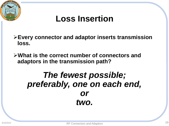

# **Loss Insertion**

➢**Every connector and adaptor inserts transmission loss.**

➢**What is the correct number of connectors and adaptors in the transmission path?**

## *The fewest possible; preferably, one on each end, or two.*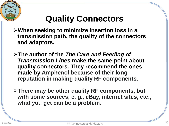

# **Quality Connectors**

- ➢**When seeking to minimize insertion loss in a transmission path, the quality of the connectors and adaptors.**
- ➢**The author of the** *The Care and Feeding of Transmission Lines* **make the same point about quality connectors. They recommend the ones made by Amphenol because of their long reputation in making quality RF components.**
- ➢**There may be other quality RF components, but with some sources, e. g., eBay, internet sites, etc., what you get can be a problem.**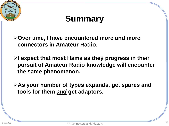

# **Summary**

➢**Over time, I have encountered more and more connectors in Amateur Radio.**

➢**I expect that most Hams as they progress in their pursuit of Amateur Radio knowledge will encounter the same phenomenon.**

➢**As your number of types expands, get spares and tools for them** *and* **get adaptors.**